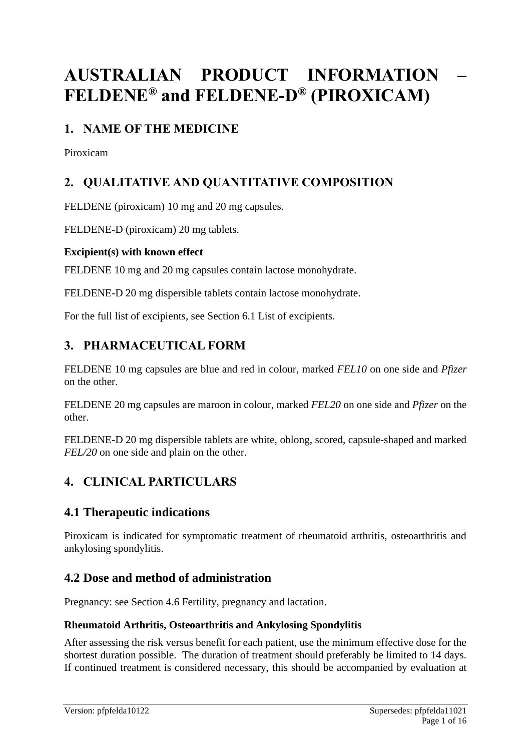# **AUSTRALIAN PRODUCT INFORMATION – FELDENE® and FELDENE-D® (PIROXICAM)**

# **1. NAME OF THE MEDICINE**

Piroxicam

# **2. QUALITATIVE AND QUANTITATIVE COMPOSITION**

FELDENE (piroxicam) 10 mg and 20 mg capsules.

FELDENE-D (piroxicam) 20 mg tablets.

# **Excipient(s) with known effect**

FELDENE 10 mg and 20 mg capsules contain lactose monohydrate.

FELDENE-D 20 mg dispersible tablets contain lactose monohydrate.

For the full list of excipients, see Section 6.1 List of excipients.

# **3. PHARMACEUTICAL FORM**

FELDENE 10 mg capsules are blue and red in colour, marked *FEL10* on one side and *Pfizer*  on the other.

FELDENE 20 mg capsules are maroon in colour, marked *FEL20* on one side and *Pfizer* on the other.

FELDENE-D 20 mg dispersible tablets are white, oblong, scored, capsule-shaped and marked *FEL/20* on one side and plain on the other.

# **4. CLINICAL PARTICULARS**

# **4.1 Therapeutic indications**

Piroxicam is indicated for symptomatic treatment of rheumatoid arthritis, osteoarthritis and ankylosing spondylitis.

# **4.2 Dose and method of administration**

Pregnancy: see Section 4.6 Fertility, pregnancy and lactation.

### **Rheumatoid Arthritis, Osteoarthritis and Ankylosing Spondylitis**

After assessing the risk versus benefit for each patient, use the minimum effective dose for the shortest duration possible. The duration of treatment should preferably be limited to 14 days. If continued treatment is considered necessary, this should be accompanied by evaluation at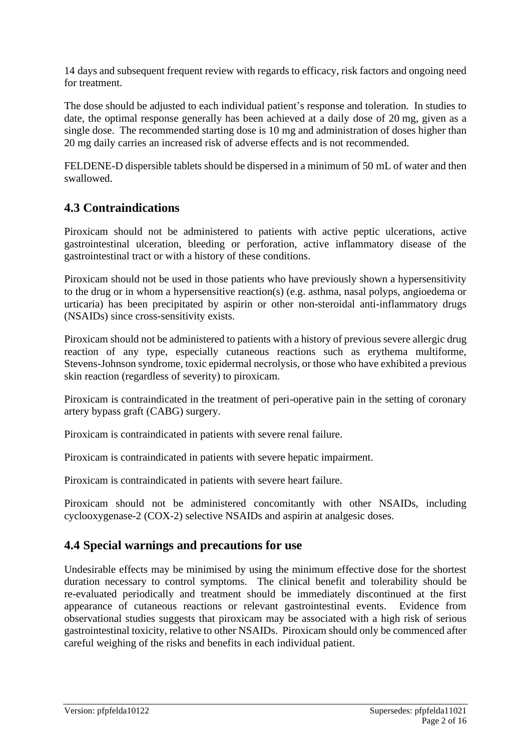14 days and subsequent frequent review with regards to efficacy, risk factors and ongoing need for treatment.

The dose should be adjusted to each individual patient's response and toleration. In studies to date, the optimal response generally has been achieved at a daily dose of 20 mg, given as a single dose. The recommended starting dose is 10 mg and administration of doses higher than 20 mg daily carries an increased risk of adverse effects and is not recommended.

FELDENE-D dispersible tablets should be dispersed in a minimum of 50 mL of water and then swallowed.

# **4.3 Contraindications**

Piroxicam should not be administered to patients with active peptic ulcerations, active gastrointestinal ulceration, bleeding or perforation, active inflammatory disease of the gastrointestinal tract or with a history of these conditions.

Piroxicam should not be used in those patients who have previously shown a hypersensitivity to the drug or in whom a hypersensitive reaction(s) (e.g. asthma, nasal polyps, angioedema or urticaria) has been precipitated by aspirin or other non-steroidal anti-inflammatory drugs (NSAIDs) since cross-sensitivity exists.

Piroxicam should not be administered to patients with a history of previous severe allergic drug reaction of any type, especially cutaneous reactions such as erythema multiforme, Stevens-Johnson syndrome, toxic epidermal necrolysis, or those who have exhibited a previous skin reaction (regardless of severity) to piroxicam.

Piroxicam is contraindicated in the treatment of peri-operative pain in the setting of coronary artery bypass graft (CABG) surgery.

Piroxicam is contraindicated in patients with severe renal failure.

Piroxicam is contraindicated in patients with severe hepatic impairment.

Piroxicam is contraindicated in patients with severe heart failure.

Piroxicam should not be administered concomitantly with other NSAIDs, including cyclooxygenase-2 (COX-2) selective NSAIDs and aspirin at analgesic doses.

# **4.4 Special warnings and precautions for use**

Undesirable effects may be minimised by using the minimum effective dose for the shortest duration necessary to control symptoms. The clinical benefit and tolerability should be re-evaluated periodically and treatment should be immediately discontinued at the first appearance of cutaneous reactions or relevant gastrointestinal events. Evidence from observational studies suggests that piroxicam may be associated with a high risk of serious gastrointestinal toxicity, relative to other NSAIDs. Piroxicam should only be commenced after careful weighing of the risks and benefits in each individual patient.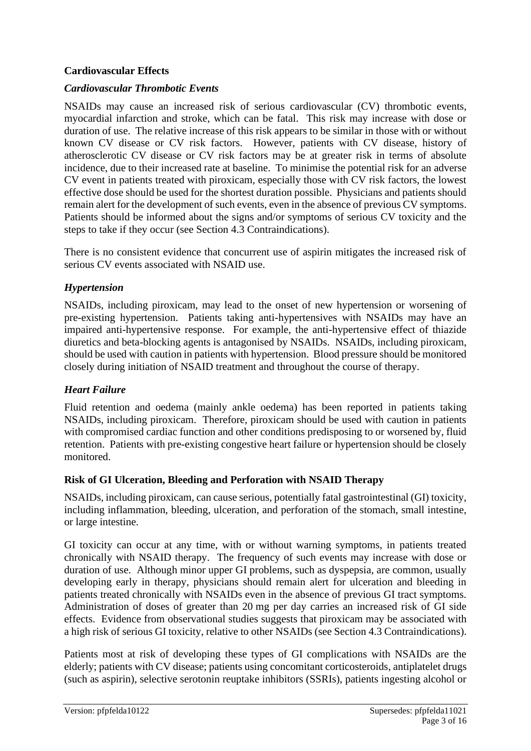### **Cardiovascular Effects**

#### *Cardiovascular Thrombotic Events*

NSAIDs may cause an increased risk of serious cardiovascular (CV) thrombotic events, myocardial infarction and stroke, which can be fatal. This risk may increase with dose or duration of use. The relative increase of this risk appears to be similar in those with or without known CV disease or CV risk factors. However, patients with CV disease, history of atherosclerotic CV disease or CV risk factors may be at greater risk in terms of absolute incidence, due to their increased rate at baseline. To minimise the potential risk for an adverse CV event in patients treated with piroxicam, especially those with CV risk factors, the lowest effective dose should be used for the shortest duration possible. Physicians and patients should remain alert for the development of such events, even in the absence of previous CV symptoms. Patients should be informed about the signs and/or symptoms of serious CV toxicity and the steps to take if they occur (see Section 4.3 Contraindications).

There is no consistent evidence that concurrent use of aspirin mitigates the increased risk of serious CV events associated with NSAID use.

### *Hypertension*

NSAIDs, including piroxicam, may lead to the onset of new hypertension or worsening of pre-existing hypertension. Patients taking anti-hypertensives with NSAIDs may have an impaired anti-hypertensive response. For example, the anti-hypertensive effect of thiazide diuretics and beta-blocking agents is antagonised by NSAIDs. NSAIDs, including piroxicam, should be used with caution in patients with hypertension. Blood pressure should be monitored closely during initiation of NSAID treatment and throughout the course of therapy.

#### *Heart Failure*

Fluid retention and oedema (mainly ankle oedema) has been reported in patients taking NSAIDs, including piroxicam. Therefore, piroxicam should be used with caution in patients with compromised cardiac function and other conditions predisposing to or worsened by, fluid retention. Patients with pre-existing congestive heart failure or hypertension should be closely monitored.

#### **Risk of GI Ulceration, Bleeding and Perforation with NSAID Therapy**

NSAIDs, including piroxicam, can cause serious, potentially fatal gastrointestinal (GI) toxicity, including inflammation, bleeding, ulceration, and perforation of the stomach, small intestine, or large intestine.

GI toxicity can occur at any time, with or without warning symptoms, in patients treated chronically with NSAID therapy. The frequency of such events may increase with dose or duration of use. Although minor upper GI problems, such as dyspepsia, are common, usually developing early in therapy, physicians should remain alert for ulceration and bleeding in patients treated chronically with NSAIDs even in the absence of previous GI tract symptoms. Administration of doses of greater than 20 mg per day carries an increased risk of GI side effects. Evidence from observational studies suggests that piroxicam may be associated with a high risk of serious GI toxicity, relative to other NSAIDs (see Section 4.3 Contraindications).

Patients most at risk of developing these types of GI complications with NSAIDs are the elderly; patients with CV disease; patients using concomitant corticosteroids, antiplatelet drugs (such as aspirin), selective serotonin reuptake inhibitors (SSRIs), patients ingesting alcohol or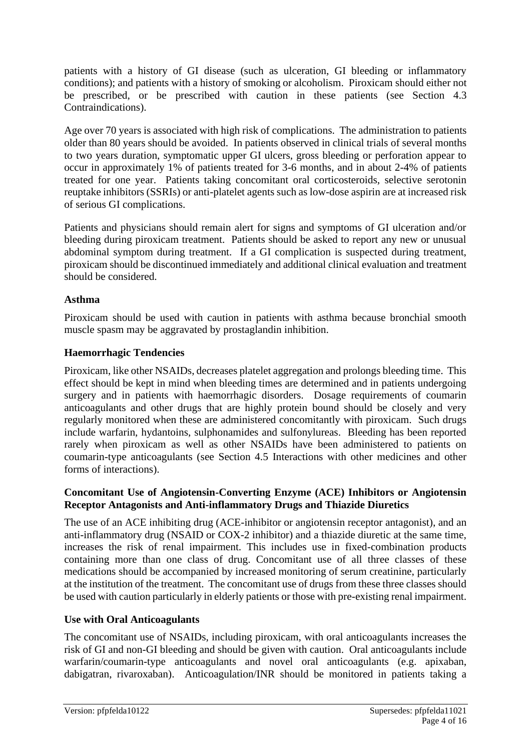patients with a history of GI disease (such as ulceration, GI bleeding or inflammatory conditions); and patients with a history of smoking or alcoholism. Piroxicam should either not be prescribed, or be prescribed with caution in these patients (see Section 4.3 Contraindications).

Age over 70 years is associated with high risk of complications. The administration to patients older than 80 years should be avoided. In patients observed in clinical trials of several months to two years duration, symptomatic upper GI ulcers, gross bleeding or perforation appear to occur in approximately 1% of patients treated for 3-6 months, and in about 2-4% of patients treated for one year. Patients taking concomitant oral corticosteroids, selective serotonin reuptake inhibitors (SSRIs) or anti-platelet agents such as low-dose aspirin are at increased risk of serious GI complications.

Patients and physicians should remain alert for signs and symptoms of GI ulceration and/or bleeding during piroxicam treatment. Patients should be asked to report any new or unusual abdominal symptom during treatment. If a GI complication is suspected during treatment, piroxicam should be discontinued immediately and additional clinical evaluation and treatment should be considered.

### **Asthma**

Piroxicam should be used with caution in patients with asthma because bronchial smooth muscle spasm may be aggravated by prostaglandin inhibition.

### **Haemorrhagic Tendencies**

Piroxicam, like other NSAIDs, decreases platelet aggregation and prolongs bleeding time. This effect should be kept in mind when bleeding times are determined and in patients undergoing surgery and in patients with haemorrhagic disorders. Dosage requirements of coumarin anticoagulants and other drugs that are highly protein bound should be closely and very regularly monitored when these are administered concomitantly with piroxicam. Such drugs include warfarin, hydantoins, sulphonamides and sulfonylureas. Bleeding has been reported rarely when piroxicam as well as other NSAIDs have been administered to patients on coumarin-type anticoagulants (see Section 4.5 Interactions with other medicines and other forms of interactions).

### **Concomitant Use of Angiotensin-Converting Enzyme (ACE) Inhibitors or Angiotensin Receptor Antagonists and Anti-inflammatory Drugs and Thiazide Diuretics**

The use of an ACE inhibiting drug (ACE-inhibitor or angiotensin receptor antagonist), and an anti-inflammatory drug (NSAID or COX-2 inhibitor) and a thiazide diuretic at the same time, increases the risk of renal impairment. This includes use in fixed-combination products containing more than one class of drug. Concomitant use of all three classes of these medications should be accompanied by increased monitoring of serum creatinine, particularly at the institution of the treatment. The concomitant use of drugs from these three classes should be used with caution particularly in elderly patients or those with pre-existing renal impairment.

### **Use with Oral Anticoagulants**

The concomitant use of NSAIDs, including piroxicam, with oral anticoagulants increases the risk of GI and non-GI bleeding and should be given with caution. Oral anticoagulants include warfarin/coumarin-type anticoagulants and novel oral anticoagulants (e.g. apixaban, dabigatran, rivaroxaban). Anticoagulation/INR should be monitored in patients taking a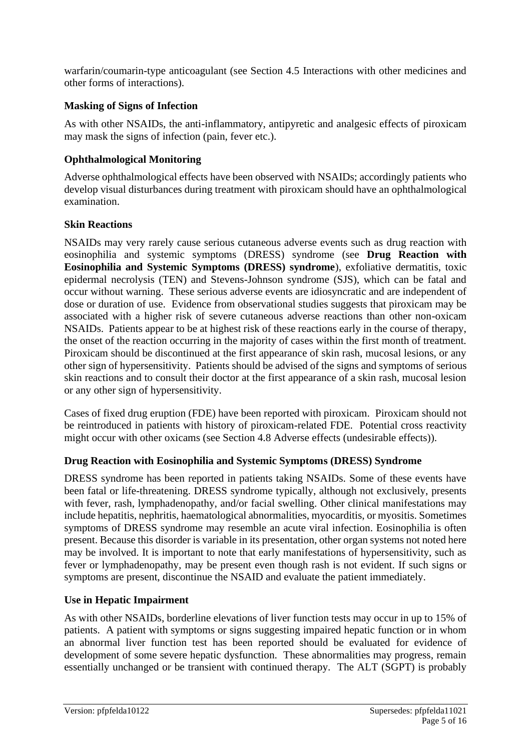warfarin/coumarin-type anticoagulant (see Section 4.5 Interactions with other medicines and other forms of interactions).

### **Masking of Signs of Infection**

As with other NSAIDs, the anti-inflammatory, antipyretic and analgesic effects of piroxicam may mask the signs of infection (pain, fever etc.).

### **Ophthalmological Monitoring**

Adverse ophthalmological effects have been observed with NSAIDs; accordingly patients who develop visual disturbances during treatment with piroxicam should have an ophthalmological examination.

### **Skin Reactions**

NSAIDs may very rarely cause serious cutaneous adverse events such as drug reaction with eosinophilia and systemic symptoms (DRESS) syndrome (see **Drug Reaction with Eosinophilia and Systemic Symptoms (DRESS) syndrome**), exfoliative dermatitis, toxic epidermal necrolysis (TEN) and Stevens-Johnson syndrome (SJS), which can be fatal and occur without warning. These serious adverse events are idiosyncratic and are independent of dose or duration of use. Evidence from observational studies suggests that piroxicam may be associated with a higher risk of severe cutaneous adverse reactions than other non-oxicam NSAIDs. Patients appear to be at highest risk of these reactions early in the course of therapy, the onset of the reaction occurring in the majority of cases within the first month of treatment. Piroxicam should be discontinued at the first appearance of skin rash, mucosal lesions, or any other sign of hypersensitivity. Patients should be advised of the signs and symptoms of serious skin reactions and to consult their doctor at the first appearance of a skin rash, mucosal lesion or any other sign of hypersensitivity.

Cases of fixed drug eruption (FDE) have been reported with piroxicam. Piroxicam should not be reintroduced in patients with history of piroxicam-related FDE. Potential cross reactivity might occur with other oxicams (see Section 4.8 Adverse effects (undesirable effects)).

### **Drug Reaction with Eosinophilia and Systemic Symptoms (DRESS) Syndrome**

DRESS syndrome has been reported in patients taking NSAIDs. Some of these events have been fatal or life-threatening. DRESS syndrome typically, although not exclusively, presents with fever, rash, lymphadenopathy, and/or facial swelling. Other clinical manifestations may include hepatitis, nephritis, haematological abnormalities, myocarditis, or myositis. Sometimes symptoms of DRESS syndrome may resemble an acute viral infection. Eosinophilia is often present. Because this disorder is variable in its presentation, other organ systems not noted here may be involved. It is important to note that early manifestations of hypersensitivity, such as fever or lymphadenopathy, may be present even though rash is not evident. If such signs or symptoms are present, discontinue the NSAID and evaluate the patient immediately.

### **Use in Hepatic Impairment**

As with other NSAIDs, borderline elevations of liver function tests may occur in up to 15% of patients. A patient with symptoms or signs suggesting impaired hepatic function or in whom an abnormal liver function test has been reported should be evaluated for evidence of development of some severe hepatic dysfunction. These abnormalities may progress, remain essentially unchanged or be transient with continued therapy. The ALT (SGPT) is probably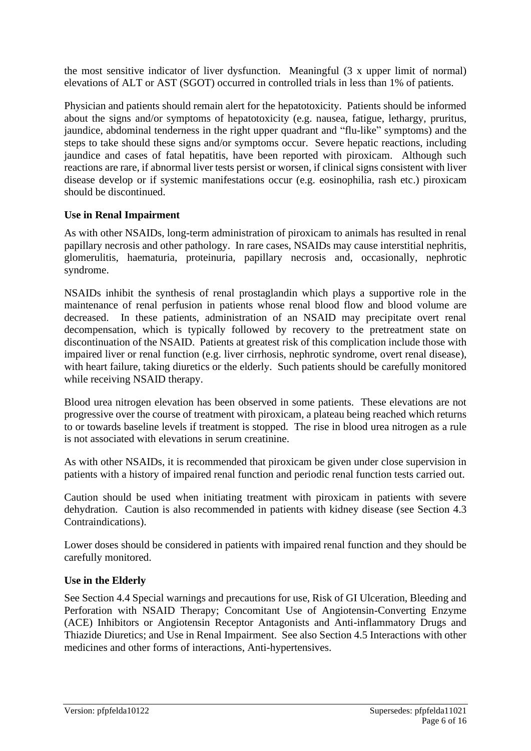the most sensitive indicator of liver dysfunction. Meaningful (3 x upper limit of normal) elevations of ALT or AST (SGOT) occurred in controlled trials in less than 1% of patients.

Physician and patients should remain alert for the hepatotoxicity. Patients should be informed about the signs and/or symptoms of hepatotoxicity (e.g. nausea, fatigue, lethargy, pruritus, jaundice, abdominal tenderness in the right upper quadrant and "flu-like" symptoms) and the steps to take should these signs and/or symptoms occur. Severe hepatic reactions, including jaundice and cases of fatal hepatitis, have been reported with piroxicam. Although such reactions are rare, if abnormal liver tests persist or worsen, if clinical signs consistent with liver disease develop or if systemic manifestations occur (e.g. eosinophilia, rash etc.) piroxicam should be discontinued.

### **Use in Renal Impairment**

As with other NSAIDs, long-term administration of piroxicam to animals has resulted in renal papillary necrosis and other pathology. In rare cases, NSAIDs may cause interstitial nephritis, glomerulitis, haematuria, proteinuria, papillary necrosis and, occasionally, nephrotic syndrome.

NSAIDs inhibit the synthesis of renal prostaglandin which plays a supportive role in the maintenance of renal perfusion in patients whose renal blood flow and blood volume are decreased. In these patients, administration of an NSAID may precipitate overt renal decompensation, which is typically followed by recovery to the pretreatment state on discontinuation of the NSAID. Patients at greatest risk of this complication include those with impaired liver or renal function (e.g. liver cirrhosis, nephrotic syndrome, overt renal disease), with heart failure, taking diuretics or the elderly. Such patients should be carefully monitored while receiving NSAID therapy.

Blood urea nitrogen elevation has been observed in some patients. These elevations are not progressive over the course of treatment with piroxicam, a plateau being reached which returns to or towards baseline levels if treatment is stopped. The rise in blood urea nitrogen as a rule is not associated with elevations in serum creatinine.

As with other NSAIDs, it is recommended that piroxicam be given under close supervision in patients with a history of impaired renal function and periodic renal function tests carried out.

Caution should be used when initiating treatment with piroxicam in patients with severe dehydration. Caution is also recommended in patients with kidney disease (see Section 4.3 Contraindications).

Lower doses should be considered in patients with impaired renal function and they should be carefully monitored.

#### **Use in the Elderly**

See Section 4.4 Special warnings and precautions for use, Risk of GI Ulceration, Bleeding and Perforation with NSAID Therapy; Concomitant Use of Angiotensin-Converting Enzyme (ACE) Inhibitors or Angiotensin Receptor Antagonists and Anti-inflammatory Drugs and Thiazide Diuretics; and Use in Renal Impairment. See also Section 4.5 Interactions with other medicines and other forms of interactions, Anti-hypertensives.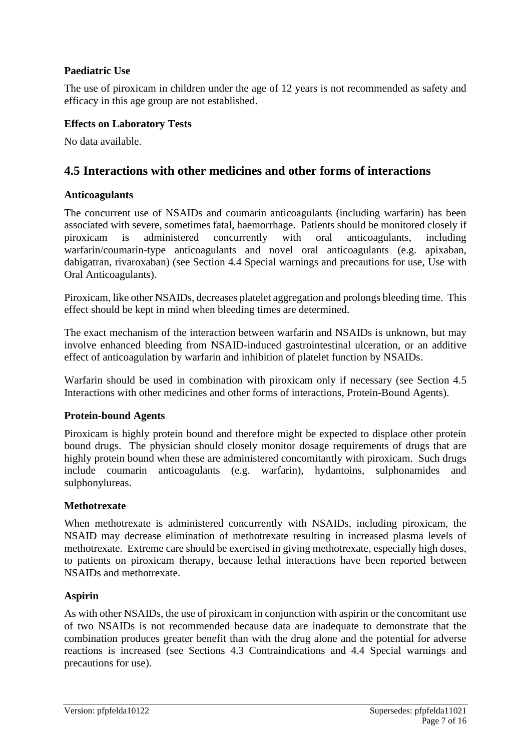### **Paediatric Use**

The use of piroxicam in children under the age of 12 years is not recommended as safety and efficacy in this age group are not established.

### **Effects on Laboratory Tests**

No data available.

# **4.5 Interactions with other medicines and other forms of interactions**

### **Anticoagulants**

The concurrent use of NSAIDs and coumarin anticoagulants (including warfarin) has been associated with severe, sometimes fatal, haemorrhage. Patients should be monitored closely if piroxicam is administered concurrently with oral anticoagulants, including warfarin/coumarin-type anticoagulants and novel oral anticoagulants (e.g. apixaban, dabigatran, rivaroxaban) (see Section 4.4 Special warnings and precautions for use, Use with Oral Anticoagulants).

Piroxicam, like other NSAIDs, decreases platelet aggregation and prolongs bleeding time. This effect should be kept in mind when bleeding times are determined.

The exact mechanism of the interaction between warfarin and NSAIDs is unknown, but may involve enhanced bleeding from NSAID-induced gastrointestinal ulceration, or an additive effect of anticoagulation by warfarin and inhibition of platelet function by NSAIDs.

Warfarin should be used in combination with piroxicam only if necessary (see Section 4.5 Interactions with other medicines and other forms of interactions, Protein-Bound Agents).

### **Protein-bound Agents**

Piroxicam is highly protein bound and therefore might be expected to displace other protein bound drugs. The physician should closely monitor dosage requirements of drugs that are highly protein bound when these are administered concomitantly with piroxicam. Such drugs include coumarin anticoagulants (e.g. warfarin), hydantoins, sulphonamides and sulphonylureas.

#### **Methotrexate**

When methotrexate is administered concurrently with NSAIDs, including piroxicam, the NSAID may decrease elimination of methotrexate resulting in increased plasma levels of methotrexate. Extreme care should be exercised in giving methotrexate, especially high doses, to patients on piroxicam therapy, because lethal interactions have been reported between NSAIDs and methotrexate.

### **Aspirin**

As with other NSAIDs, the use of piroxicam in conjunction with aspirin or the concomitant use of two NSAIDs is not recommended because data are inadequate to demonstrate that the combination produces greater benefit than with the drug alone and the potential for adverse reactions is increased (see Sections 4.3 Contraindications and 4.4 Special warnings and precautions for use).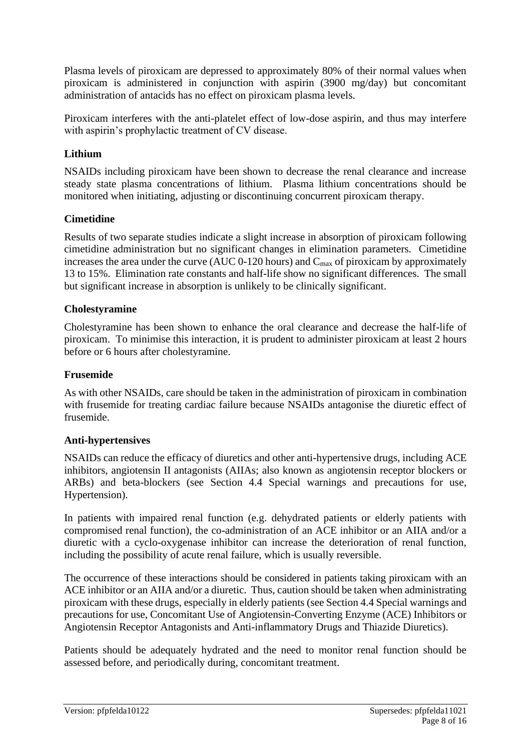Plasma levels of piroxicam are depressed to approximately 80% of their normal values when piroxicam is administered in conjunction with aspirin (3900 mg/day) but concomitant administration of antacids has no effect on piroxicam plasma levels.

Piroxicam interferes with the anti-platelet effect of low-dose aspirin, and thus may interfere with aspirin's prophylactic treatment of CV disease.

### **Lithium**

NSAIDs including piroxicam have been shown to decrease the renal clearance and increase steady state plasma concentrations of lithium. Plasma lithium concentrations should be monitored when initiating, adjusting or discontinuing concurrent piroxicam therapy.

### **Cimetidine**

Results of two separate studies indicate a slight increase in absorption of piroxicam following cimetidine administration but no significant changes in elimination parameters. Cimetidine increases the area under the curve (AUC  $0-120$  hours) and  $C_{\text{max}}$  of piroxicam by approximately 13 to 15%. Elimination rate constants and half-life show no significant differences. The small but significant increase in absorption is unlikely to be clinically significant.

#### **Cholestyramine**

Cholestyramine has been shown to enhance the oral clearance and decrease the half-life of piroxicam. To minimise this interaction, it is prudent to administer piroxicam at least 2 hours before or 6 hours after cholestyramine.

#### **Frusemide**

As with other NSAIDs, care should be taken in the administration of piroxicam in combination with frusemide for treating cardiac failure because NSAIDs antagonise the diuretic effect of frusemide.

#### **Anti-hypertensives**

NSAIDs can reduce the efficacy of diuretics and other anti-hypertensive drugs, including ACE inhibitors, angiotensin II antagonists (AIIAs; also known as angiotensin receptor blockers or ARBs) and beta-blockers (see Section 4.4 Special warnings and precautions for use, Hypertension).

In patients with impaired renal function (e.g. dehydrated patients or elderly patients with compromised renal function), the co-administration of an ACE inhibitor or an AIIA and/or a diuretic with a cyclo-oxygenase inhibitor can increase the deterioration of renal function, including the possibility of acute renal failure, which is usually reversible.

The occurrence of these interactions should be considered in patients taking piroxicam with an ACE inhibitor or an AIIA and/or a diuretic. Thus, caution should be taken when administrating piroxicam with these drugs, especially in elderly patients (see Section 4.4 Special warnings and precautions for use, Concomitant Use of Angiotensin-Converting Enzyme (ACE) Inhibitors or Angiotensin Receptor Antagonists and Anti-inflammatory Drugs and Thiazide Diuretics).

Patients should be adequately hydrated and the need to monitor renal function should be assessed before, and periodically during, concomitant treatment.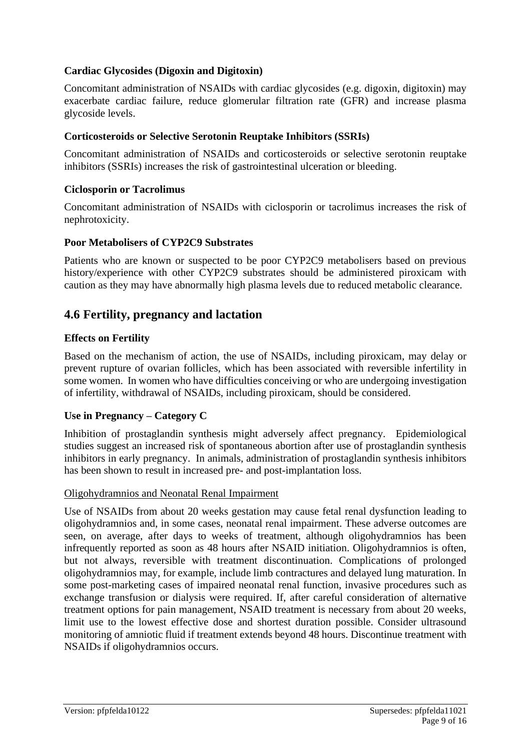### **Cardiac Glycosides (Digoxin and Digitoxin)**

Concomitant administration of NSAIDs with cardiac glycosides (e.g. digoxin, digitoxin) may exacerbate cardiac failure, reduce glomerular filtration rate (GFR) and increase plasma glycoside levels.

#### **Corticosteroids or Selective Serotonin Reuptake Inhibitors (SSRIs)**

Concomitant administration of NSAIDs and corticosteroids or selective serotonin reuptake inhibitors (SSRIs) increases the risk of gastrointestinal ulceration or bleeding.

#### **Ciclosporin or Tacrolimus**

Concomitant administration of NSAIDs with ciclosporin or tacrolimus increases the risk of nephrotoxicity.

#### **Poor Metabolisers of CYP2C9 Substrates**

Patients who are known or suspected to be poor CYP2C9 metabolisers based on previous history/experience with other CYP2C9 substrates should be administered piroxicam with caution as they may have abnormally high plasma levels due to reduced metabolic clearance.

### **4.6 Fertility, pregnancy and lactation**

#### **Effects on Fertility**

Based on the mechanism of action, the use of NSAIDs, including piroxicam, may delay or prevent rupture of ovarian follicles, which has been associated with reversible infertility in some women. In women who have difficulties conceiving or who are undergoing investigation of infertility, withdrawal of NSAIDs, including piroxicam, should be considered.

#### **Use in Pregnancy – Category C**

Inhibition of prostaglandin synthesis might adversely affect pregnancy. Epidemiological studies suggest an increased risk of spontaneous abortion after use of prostaglandin synthesis inhibitors in early pregnancy. In animals, administration of prostaglandin synthesis inhibitors has been shown to result in increased pre- and post-implantation loss.

#### Oligohydramnios and Neonatal Renal Impairment

Use of NSAIDs from about 20 weeks gestation may cause fetal renal dysfunction leading to oligohydramnios and, in some cases, neonatal renal impairment. These adverse outcomes are seen, on average, after days to weeks of treatment, although oligohydramnios has been infrequently reported as soon as 48 hours after NSAID initiation. Oligohydramnios is often, but not always, reversible with treatment discontinuation. Complications of prolonged oligohydramnios may, for example, include limb contractures and delayed lung maturation. In some post-marketing cases of impaired neonatal renal function, invasive procedures such as exchange transfusion or dialysis were required. If, after careful consideration of alternative treatment options for pain management, NSAID treatment is necessary from about 20 weeks, limit use to the lowest effective dose and shortest duration possible. Consider ultrasound monitoring of amniotic fluid if treatment extends beyond 48 hours. Discontinue treatment with NSAIDs if oligohydramnios occurs.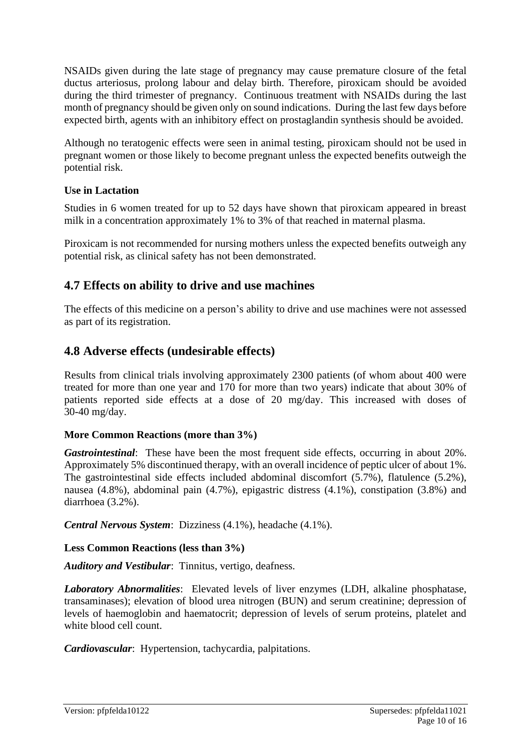NSAIDs given during the late stage of pregnancy may cause premature closure of the fetal ductus arteriosus, prolong labour and delay birth. Therefore, piroxicam should be avoided during the third trimester of pregnancy. Continuous treatment with NSAIDs during the last month of pregnancy should be given only on sound indications. During the last few days before expected birth, agents with an inhibitory effect on prostaglandin synthesis should be avoided.

Although no teratogenic effects were seen in animal testing, piroxicam should not be used in pregnant women or those likely to become pregnant unless the expected benefits outweigh the potential risk.

### **Use in Lactation**

Studies in 6 women treated for up to 52 days have shown that piroxicam appeared in breast milk in a concentration approximately 1% to 3% of that reached in maternal plasma.

Piroxicam is not recommended for nursing mothers unless the expected benefits outweigh any potential risk, as clinical safety has not been demonstrated.

# **4.7 Effects on ability to drive and use machines**

The effects of this medicine on a person's ability to drive and use machines were not assessed as part of its registration.

# **4.8 Adverse effects (undesirable effects)**

Results from clinical trials involving approximately 2300 patients (of whom about 400 were treated for more than one year and 170 for more than two years) indicate that about 30% of patients reported side effects at a dose of 20 mg/day. This increased with doses of 30-40 mg/day.

### **More Common Reactions (more than 3%)**

*Gastrointestinal*: These have been the most frequent side effects, occurring in about 20%. Approximately 5% discontinued therapy, with an overall incidence of peptic ulcer of about 1%. The gastrointestinal side effects included abdominal discomfort (5.7%), flatulence (5.2%), nausea (4.8%), abdominal pain (4.7%), epigastric distress (4.1%), constipation (3.8%) and diarrhoea (3.2%).

*Central Nervous System*: Dizziness (4.1%), headache (4.1%).

### **Less Common Reactions (less than 3%)**

*Auditory and Vestibular*: Tinnitus, vertigo, deafness.

*Laboratory Abnormalities*: Elevated levels of liver enzymes (LDH, alkaline phosphatase, transaminases); elevation of blood urea nitrogen (BUN) and serum creatinine; depression of levels of haemoglobin and haematocrit; depression of levels of serum proteins, platelet and white blood cell count.

*Cardiovascular*: Hypertension, tachycardia, palpitations.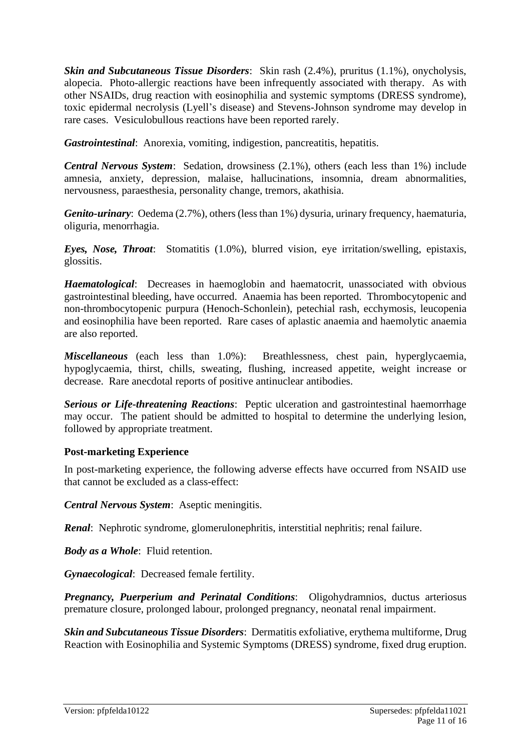*Skin and Subcutaneous Tissue Disorders*: Skin rash (2.4%), pruritus (1.1%), onycholysis, alopecia. Photo-allergic reactions have been infrequently associated with therapy. As with other NSAIDs, drug reaction with eosinophilia and systemic symptoms (DRESS syndrome), toxic epidermal necrolysis (Lyell's disease) and Stevens-Johnson syndrome may develop in rare cases. Vesiculobullous reactions have been reported rarely.

*Gastrointestinal*: Anorexia, vomiting, indigestion, pancreatitis, hepatitis.

*Central Nervous System*: Sedation, drowsiness (2.1%), others (each less than 1%) include amnesia, anxiety, depression, malaise, hallucinations, insomnia, dream abnormalities, nervousness, paraesthesia, personality change, tremors, akathisia.

*Genito-urinary*: Oedema (2.7%), others (less than 1%) dysuria, urinary frequency, haematuria, oliguria, menorrhagia.

*Eyes, Nose, Throat*: Stomatitis (1.0%), blurred vision, eye irritation/swelling, epistaxis, glossitis.

*Haematological*: Decreases in haemoglobin and haematocrit, unassociated with obvious gastrointestinal bleeding, have occurred. Anaemia has been reported. Thrombocytopenic and non-thrombocytopenic purpura (Henoch-Schonlein), petechial rash, ecchymosis, leucopenia and eosinophilia have been reported. Rare cases of aplastic anaemia and haemolytic anaemia are also reported.

*Miscellaneous* (each less than 1.0%): Breathlessness, chest pain, hyperglycaemia, hypoglycaemia, thirst, chills, sweating, flushing, increased appetite, weight increase or decrease. Rare anecdotal reports of positive antinuclear antibodies.

*Serious or Life-threatening Reactions*: Peptic ulceration and gastrointestinal haemorrhage may occur. The patient should be admitted to hospital to determine the underlying lesion, followed by appropriate treatment.

#### **Post-marketing Experience**

In post-marketing experience, the following adverse effects have occurred from NSAID use that cannot be excluded as a class-effect:

*Central Nervous System*: Aseptic meningitis.

*Renal*: Nephrotic syndrome, glomerulonephritis, interstitial nephritis; renal failure.

*Body as a Whole*: Fluid retention.

*Gynaecological*: Decreased female fertility.

*Pregnancy, Puerperium and Perinatal Conditions*: Oligohydramnios, ductus arteriosus premature closure, prolonged labour, prolonged pregnancy, neonatal renal impairment.

*Skin and Subcutaneous Tissue Disorders*: Dermatitis exfoliative, erythema multiforme, Drug Reaction with Eosinophilia and Systemic Symptoms (DRESS) syndrome, fixed drug eruption.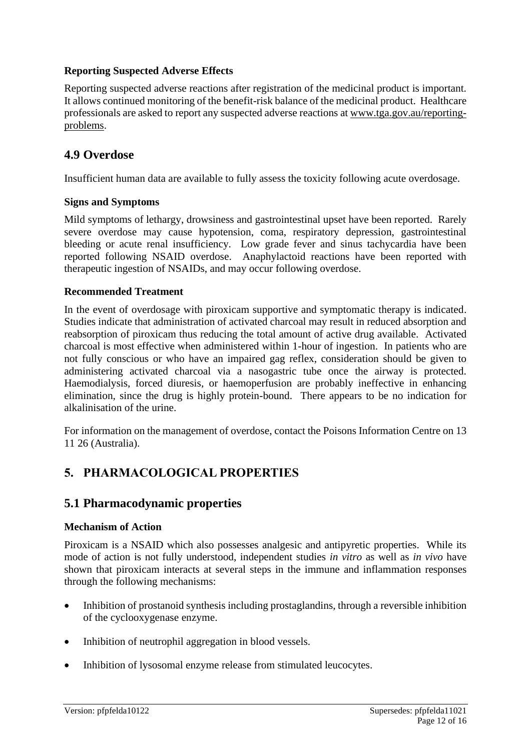### **Reporting Suspected Adverse Effects**

Reporting suspected adverse reactions after registration of the medicinal product is important. It allows continued monitoring of the benefit-risk balance of the medicinal product. Healthcare professionals are asked to report any suspected adverse reactions at [www.tga.gov.au/reporting](http://www.tga.gov.au/reporting-problems)[problems.](http://www.tga.gov.au/reporting-problems)

### **4.9 Overdose**

Insufficient human data are available to fully assess the toxicity following acute overdosage.

#### **Signs and Symptoms**

Mild symptoms of lethargy, drowsiness and gastrointestinal upset have been reported. Rarely severe overdose may cause hypotension, coma, respiratory depression, gastrointestinal bleeding or acute renal insufficiency. Low grade fever and sinus tachycardia have been reported following NSAID overdose. Anaphylactoid reactions have been reported with therapeutic ingestion of NSAIDs, and may occur following overdose.

#### **Recommended Treatment**

In the event of overdosage with piroxicam supportive and symptomatic therapy is indicated. Studies indicate that administration of activated charcoal may result in reduced absorption and reabsorption of piroxicam thus reducing the total amount of active drug available. Activated charcoal is most effective when administered within 1-hour of ingestion. In patients who are not fully conscious or who have an impaired gag reflex, consideration should be given to administering activated charcoal via a nasogastric tube once the airway is protected. Haemodialysis, forced diuresis, or haemoperfusion are probably ineffective in enhancing elimination, since the drug is highly protein-bound. There appears to be no indication for alkalinisation of the urine.

For information on the management of overdose, contact the Poisons Information Centre on 13 11 26 (Australia).

# **5. PHARMACOLOGICAL PROPERTIES**

### **5.1 Pharmacodynamic properties**

#### **Mechanism of Action**

Piroxicam is a NSAID which also possesses analgesic and antipyretic properties. While its mode of action is not fully understood, independent studies *in vitro* as well as *in vivo* have shown that piroxicam interacts at several steps in the immune and inflammation responses through the following mechanisms:

- Inhibition of prostanoid synthesis including prostaglandins, through a reversible inhibition of the cyclooxygenase enzyme.
- Inhibition of neutrophil aggregation in blood vessels.
- Inhibition of lysosomal enzyme release from stimulated leucocytes.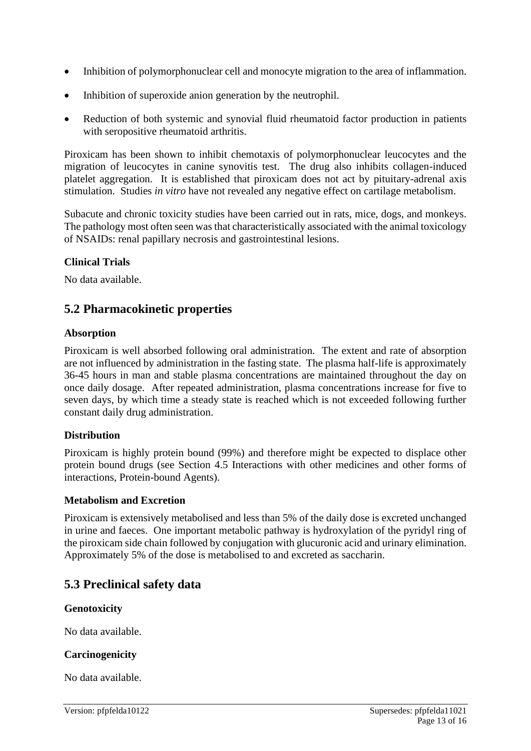- Inhibition of polymorphonuclear cell and monocyte migration to the area of inflammation.
- Inhibition of superoxide anion generation by the neutrophil.
- Reduction of both systemic and synovial fluid rheumatoid factor production in patients with seropositive rheumatoid arthritis.

Piroxicam has been shown to inhibit chemotaxis of polymorphonuclear leucocytes and the migration of leucocytes in canine synovitis test. The drug also inhibits collagen-induced platelet aggregation. It is established that piroxicam does not act by pituitary-adrenal axis stimulation. Studies *in vitro* have not revealed any negative effect on cartilage metabolism.

Subacute and chronic toxicity studies have been carried out in rats, mice, dogs, and monkeys. The pathology most often seen was that characteristically associated with the animal toxicology of NSAIDs: renal papillary necrosis and gastrointestinal lesions.

### **Clinical Trials**

No data available.

# **5.2 Pharmacokinetic properties**

### **Absorption**

Piroxicam is well absorbed following oral administration. The extent and rate of absorption are not influenced by administration in the fasting state. The plasma half-life is approximately 36-45 hours in man and stable plasma concentrations are maintained throughout the day on once daily dosage. After repeated administration, plasma concentrations increase for five to seven days, by which time a steady state is reached which is not exceeded following further constant daily drug administration.

### **Distribution**

Piroxicam is highly protein bound (99%) and therefore might be expected to displace other protein bound drugs (see Section 4.5 Interactions with other medicines and other forms of interactions, Protein-bound Agents).

#### **Metabolism and Excretion**

Piroxicam is extensively metabolised and less than 5% of the daily dose is excreted unchanged in urine and faeces. One important metabolic pathway is hydroxylation of the pyridyl ring of the piroxicam side chain followed by conjugation with glucuronic acid and urinary elimination. Approximately 5% of the dose is metabolised to and excreted as saccharin.

# **5.3 Preclinical safety data**

### **Genotoxicity**

No data available.

#### **Carcinogenicity**

No data available.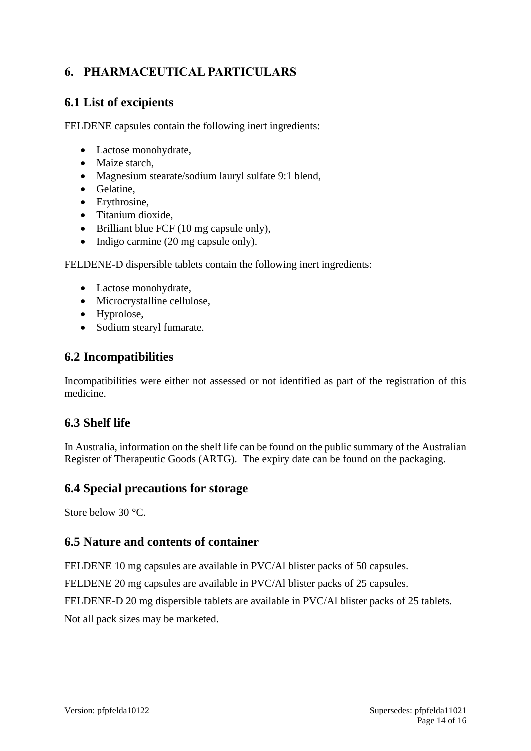# **6. PHARMACEUTICAL PARTICULARS**

# **6.1 List of excipients**

FELDENE capsules contain the following inert ingredients:

- Lactose monohydrate,
- Maize starch.
- Magnesium stearate/sodium lauryl sulfate 9:1 blend,
- Gelatine,
- Erythrosine,
- Titanium dioxide,
- Brilliant blue FCF (10 mg capsule only),
- Indigo carmine (20 mg capsule only).

FELDENE-D dispersible tablets contain the following inert ingredients:

- Lactose monohydrate,
- Microcrystalline cellulose,
- Hyprolose,
- Sodium stearyl fumarate.

# **6.2 Incompatibilities**

Incompatibilities were either not assessed or not identified as part of the registration of this medicine.

# **6.3 Shelf life**

In Australia, information on the shelf life can be found on the public summary of the Australian Register of Therapeutic Goods (ARTG). The expiry date can be found on the packaging.

# **6.4 Special precautions for storage**

Store below 30 °C.

# **6.5 Nature and contents of container**

FELDENE 10 mg capsules are available in PVC/Al blister packs of 50 capsules.

FELDENE 20 mg capsules are available in PVC/Al blister packs of 25 capsules.

FELDENE-D 20 mg dispersible tablets are available in PVC/Al blister packs of 25 tablets.

Not all pack sizes may be marketed.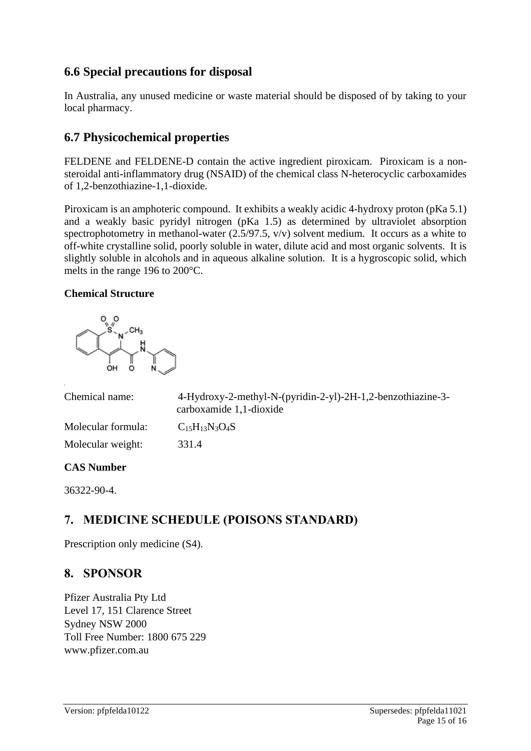# **6.6 Special precautions for disposal**

In Australia, any unused medicine or waste material should be disposed of by taking to your local pharmacy.

# **6.7 Physicochemical properties**

FELDENE and FELDENE-D contain the active ingredient piroxicam. Piroxicam is a nonsteroidal anti-inflammatory drug (NSAID) of the chemical class N-heterocyclic carboxamides of 1,2-benzothiazine-1,1-dioxide.

Piroxicam is an amphoteric compound. It exhibits a weakly acidic 4-hydroxy proton (pKa 5.1) and a weakly basic pyridyl nitrogen (pKa 1.5) as determined by ultraviolet absorption spectrophotometry in methanol-water (2.5/97.5, v/v) solvent medium. It occurs as a white to off-white crystalline solid, poorly soluble in water, dilute acid and most organic solvents. It is slightly soluble in alcohols and in aqueous alkaline solution. It is a hygroscopic solid, which melts in the range 196 to 200°C.

### **Chemical Structure**



| Chemical name:                | 4-Hydroxy-2-methyl-N-(pyridin-2-yl)-2H-1,2-benzothiazine-3-<br>carboxamide 1,1-dioxide |
|-------------------------------|----------------------------------------------------------------------------------------|
| Molecular formula:            | $C_{15}H_{13}N_3O_4S$                                                                  |
| Molecular weight:             | 331.4                                                                                  |
| $\bigcap$ $\bigcap$ $\bigcap$ |                                                                                        |

#### **CAS Number**

36322-90-4.

# **7. MEDICINE SCHEDULE (POISONS STANDARD)**

Prescription only medicine (S4).

# **8. SPONSOR**

Pfizer Australia Pty Ltd Level 17, 151 Clarence Street Sydney NSW 2000 Toll Free Number: 1800 675 229 www.pfizer.com.au